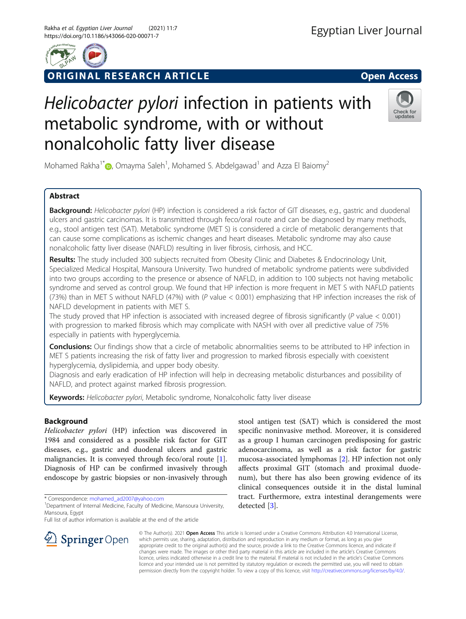

ORIGINAL RESEARCH ARTICLE **Solution Community Community** Open Access

# Helicobacter pylori infection in patients with metabolic syndrome, with or without nonalcoholic fatty liver disease



Mohamed Rakha<sup>1\*</sup> $\bm{\odot}$ [,](http://orcid.org/0000-0001-7502-9551) Omayma Saleh<sup>1</sup>, Mohamed S. Abdelgawad<sup>1</sup> and Azza El Baiomy<sup>2</sup>

# Abstract

Background: Helicobacter pylori (HP) infection is considered a risk factor of GIT diseases, e.g., gastric and duodenal ulcers and gastric carcinomas. It is transmitted through feco/oral route and can be diagnosed by many methods, e.g., stool antigen test (SAT). Metabolic syndrome (MET S) is considered a circle of metabolic derangements that can cause some complications as ischemic changes and heart diseases. Metabolic syndrome may also cause nonalcoholic fatty liver disease (NAFLD) resulting in liver fibrosis, cirrhosis, and HCC.

Results: The study included 300 subjects recruited from Obesity Clinic and Diabetes & Endocrinology Unit, Specialized Medical Hospital, Mansoura University. Two hundred of metabolic syndrome patients were subdivided into two groups according to the presence or absence of NAFLD, in addition to 100 subjects not having metabolic syndrome and served as control group. We found that HP infection is more frequent in MET S with NAFLD patients (73%) than in MET S without NAFLD (47%) with (P value < 0.001) emphasizing that HP infection increases the risk of NAFLD development in patients with MET S.

The study proved that HP infection is associated with increased degree of fibrosis significantly (P value < 0.001) with progression to marked fibrosis which may complicate with NASH with over all predictive value of 75% especially in patients with hyperglycemia.

**Conclusions:** Our findings show that a circle of metabolic abnormalities seems to be attributed to HP infection in MET S patients increasing the risk of fatty liver and progression to marked fibrosis especially with coexistent hyperglycemia, dyslipidemia, and upper body obesity.

Diagnosis and early eradication of HP infection will help in decreasing metabolic disturbances and possibility of NAFLD, and protect against marked fibrosis progression.

**Keywords:** Helicobacter pylori, Metabolic syndrome, Nonalcoholic fatty liver disease

# Background

Helicobacter pylori (HP) infection was discovered in 1984 and considered as a possible risk factor for GIT diseases, e.g., gastric and duodenal ulcers and gastric malignancies. It is conveyed through feco/oral route [\[1](#page-7-0)]. Diagnosis of HP can be confirmed invasively through endoscope by gastric biopsies or non-invasively through

\* Correspondence: [mohamed\\_ad2007@yahoo.com](mailto:mohamed_ad2007@yahoo.com) <sup>1</sup>

Full list of author information is available at the end of the article

stool antigen test (SAT) which is considered the most specific noninvasive method. Moreover, it is considered as a group I human carcinogen predisposing for gastric adenocarcinoma, as well as a risk factor for gastric mucosa-associated lymphomas [[2\]](#page-7-0). HP infection not only affects proximal GIT (stomach and proximal duodenum), but there has also been growing evidence of its clinical consequences outside it in the distal luminal tract. Furthermore, extra intestinal derangements were detected [\[3](#page-7-0)].



© The Author(s). 2021 Open Access This article is licensed under a Creative Commons Attribution 4.0 International License, which permits use, sharing, adaptation, distribution and reproduction in any medium or format, as long as you give appropriate credit to the original author(s) and the source, provide a link to the Creative Commons licence, and indicate if changes were made. The images or other third party material in this article are included in the article's Creative Commons licence, unless indicated otherwise in a credit line to the material. If material is not included in the article's Creative Commons licence and your intended use is not permitted by statutory regulation or exceeds the permitted use, you will need to obtain permission directly from the copyright holder. To view a copy of this licence, visit <http://creativecommons.org/licenses/by/4.0/>.

<sup>&</sup>lt;sup>1</sup> Department of Internal Medicine, Faculty of Medicine, Mansoura University, Mansoura, Egypt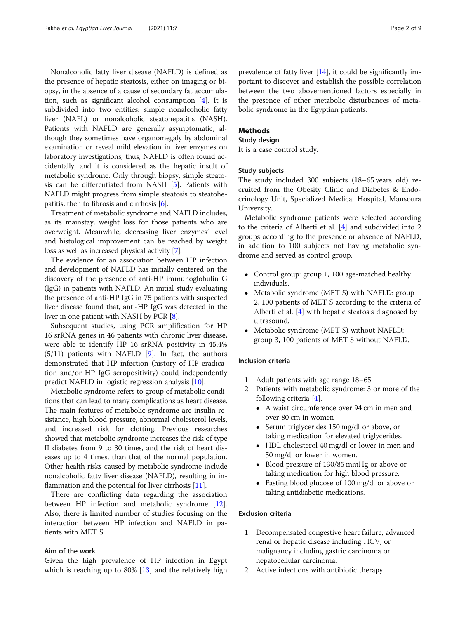Nonalcoholic fatty liver disease (NAFLD) is defined as the presence of hepatic steatosis, either on imaging or biopsy, in the absence of a cause of secondary fat accumulation, such as significant alcohol consumption [[4](#page-7-0)]. It is subdivided into two entities: simple nonalcoholic fatty liver (NAFL) or nonalcoholic steatohepatitis (NASH). Patients with NAFLD are generally asymptomatic, although they sometimes have organomegaly by abdominal examination or reveal mild elevation in liver enzymes on laboratory investigations; thus, NAFLD is often found accidentally, and it is considered as the hepatic insult of metabolic syndrome. Only through biopsy, simple steatosis can be differentiated from NASH [\[5](#page-7-0)]. Patients with NAFLD might progress from simple steatosis to steatohepatitis, then to fibrosis and cirrhosis [[6](#page-7-0)].

Treatment of metabolic syndrome and NAFLD includes, as its mainstay, weight loss for those patients who are overweight. Meanwhile, decreasing liver enzymes' level and histological improvement can be reached by weight loss as well as increased physical activity [\[7\]](#page-7-0).

The evidence for an association between HP infection and development of NAFLD has initially centered on the discovery of the presence of anti-HP immunoglobulin G (IgG) in patients with NAFLD. An initial study evaluating the presence of anti-HP IgG in 75 patients with suspected liver disease found that, anti-HP IgG was detected in the liver in one patient with NASH by PCR [[8\]](#page-7-0).

Subsequent studies, using PCR amplification for HP 16 srRNA genes in 46 patients with chronic liver disease, were able to identify HP 16 srRNA positivity in 45.4% (5/11) patients with NAFLD [[9\]](#page-7-0). In fact, the authors demonstrated that HP infection (history of HP eradication and/or HP IgG seropositivity) could independently predict NAFLD in logistic regression analysis [[10\]](#page-7-0).

Metabolic syndrome refers to group of metabolic conditions that can lead to many complications as heart disease. The main features of metabolic syndrome are insulin resistance, high blood pressure, abnormal cholesterol levels, and increased risk for clotting. Previous researches showed that metabolic syndrome increases the risk of type II diabetes from 9 to 30 times, and the risk of heart diseases up to 4 times, than that of the normal population. Other health risks caused by metabolic syndrome include nonalcoholic fatty liver disease (NAFLD), resulting in in-flammation and the potential for liver cirrhosis [\[11](#page-7-0)].

There are conflicting data regarding the association between HP infection and metabolic syndrome [\[12](#page-7-0)]. Also, there is limited number of studies focusing on the interaction between HP infection and NAFLD in patients with MET S.

## Aim of the work

Given the high prevalence of HP infection in Egypt which is reaching up to 80% [\[13](#page-7-0)] and the relatively high prevalence of fatty liver [\[14\]](#page-7-0), it could be significantly important to discover and establish the possible correlation between the two abovementioned factors especially in the presence of other metabolic disturbances of metabolic syndrome in the Egyptian patients.

## Methods

#### Study design

It is a case control study.

#### Study subjects

The study included 300 subjects (18–65 years old) recruited from the Obesity Clinic and Diabetes & Endocrinology Unit, Specialized Medical Hospital, Mansoura University.

Metabolic syndrome patients were selected according to the criteria of Alberti et al. [\[4](#page-7-0)] and subdivided into 2 groups according to the presence or absence of NAFLD, in addition to 100 subjects not having metabolic syndrome and served as control group.

- Control group: group 1, 100 age-matched healthy individuals.
- Metabolic syndrome (MET S) with NAFLD: group 2, 100 patients of MET S according to the criteria of Alberti et al. [[4\]](#page-7-0) with hepatic steatosis diagnosed by ultrasound.
- Metabolic syndrome (MET S) without NAFLD: group 3, 100 patients of MET S without NAFLD.

#### Inclusion criteria

- 1. Adult patients with age range 18–65.
- 2. Patients with metabolic syndrome: 3 or more of the following criteria [[4\]](#page-7-0).
	- A waist circumference over 94 cm in men and over 80 cm in women
	- Serum triglycerides 150 mg/dl or above, or taking medication for elevated triglycerides.
	- HDL cholesterol 40 mg/dl or lower in men and 50 mg/dl or lower in women.
	- Blood pressure of 130/85 mmHg or above or taking medication for high blood pressure.
	- Fasting blood glucose of 100 mg/dl or above or taking antidiabetic medications.

## Exclusion criteria

- 1. Decompensated congestive heart failure, advanced renal or hepatic disease including HCV, or malignancy including gastric carcinoma or hepatocellular carcinoma.
- 2. Active infections with antibiotic therapy.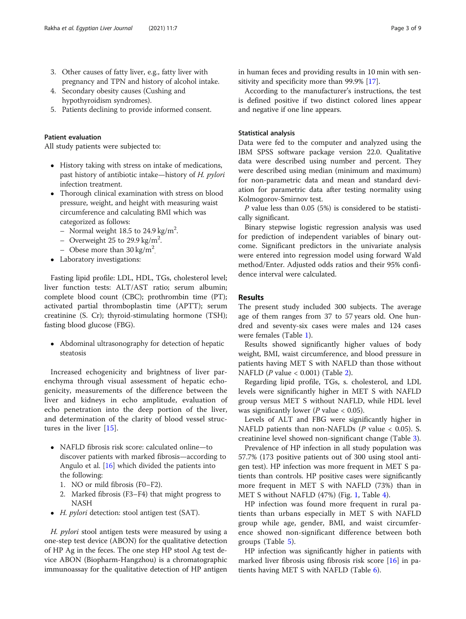- 3. Other causes of fatty liver, e.g., fatty liver with pregnancy and TPN and history of alcohol intake.
- 4. Secondary obesity causes (Cushing and hypothyroidism syndromes).
- 5. Patients declining to provide informed consent.

#### Patient evaluation

All study patients were subjected to:

- History taking with stress on intake of medications, past history of antibiotic intake—history of H. pylori infection treatment.
- Thorough clinical examination with stress on blood pressure, weight, and height with measuring waist circumference and calculating BMI which was categorized as follows:
	- Normal weight 18.5 to 24.9 kg/m<sup>2</sup>.
	- Overweight 25 to 29.9 kg/m<sup>2</sup>.
	- Obese more than  $30 \text{ kg/m}^2$ .
- Laboratory investigations:

Fasting lipid profile: LDL, HDL, TGs, cholesterol level; liver function tests: ALT/AST ratio; serum albumin; complete blood count (CBC); prothrombin time (PT); activated partial thromboplastin time (APTT); serum creatinine (S. Cr); thyroid-stimulating hormone (TSH); fasting blood glucose (FBG).

• Abdominal ultrasonography for detection of hepatic steatosis

Increased echogenicity and brightness of liver parenchyma through visual assessment of hepatic echogenicity, measurements of the difference between the liver and kidneys in echo amplitude, evaluation of echo penetration into the deep portion of the liver, and determination of the clarity of blood vessel structures in the liver [[15\]](#page-7-0).

- NAFLD fibrosis risk score: calculated online—to discover patients with marked fibrosis—according to Angulo et al. [\[16](#page-8-0)] which divided the patients into the following:
	- 1. NO or mild fibrosis (F0–F2).
	- 2. Marked fibrosis (F3–F4) that might progress to NASH
- H. *pylori* detection: stool antigen test (SAT).

H. *pylori* stool antigen tests were measured by using a one-step test device (ABON) for the qualitative detection of HP Ag in the feces. The one step HP stool Ag test device ABON (Biopharm-Hangzhou) is a chromatographic immunoassay for the qualitative detection of HP antigen in human feces and providing results in 10 min with sensitivity and specificity more than 99.9% [[17\]](#page-8-0).

According to the manufacturer's instructions, the test is defined positive if two distinct colored lines appear and negative if one line appears.

### Statistical analysis

Data were fed to the computer and analyzed using the IBM SPSS software package version 22.0. Qualitative data were described using number and percent. They were described using median (minimum and maximum) for non-parametric data and mean and standard deviation for parametric data after testing normality using Kolmogorov-Smirnov test.

P value less than 0.05 (5%) is considered to be statistically significant.

Binary stepwise logistic regression analysis was used for prediction of independent variables of binary outcome. Significant predictors in the univariate analysis were entered into regression model using forward Wald method/Enter. Adjusted odds ratios and their 95% confidence interval were calculated.

## Results

The present study included 300 subjects. The average age of them ranges from 37 to 57 years old. One hundred and seventy-six cases were males and 124 cases were females (Table [1\)](#page-3-0).

Results showed significantly higher values of body weight, BMI, waist circumference, and blood pressure in patients having MET S with NAFLD than those without NAFLD ( $P$  value < 0.001) (Table [2\)](#page-3-0).

Regarding lipid profile, TGs, s. cholesterol, and LDL levels were significantly higher in MET S with NAFLD group versus MET S without NAFLD, while HDL level was significantly lower ( $P$  value  $< 0.05$ ).

Levels of ALT and FBG were significantly higher in NAFLD patients than non-NAFLDs  $(P \text{ value} < 0.05)$ . S. creatinine level showed non-significant change (Table [3\)](#page-4-0).

Prevalence of HP infection in all study population was 57.7% (173 positive patients out of 300 using stool antigen test). HP infection was more frequent in MET S patients than controls. HP positive cases were significantly more frequent in MET S with NAFLD (73%) than in MET S without NAFLD (47%) (Fig. [1,](#page-4-0) Table [4\)](#page-5-0).

HP infection was found more frequent in rural patients than urbans especially in MET S with NAFLD group while age, gender, BMI, and waist circumference showed non-significant difference between both groups (Table [5\)](#page-5-0).

HP infection was significantly higher in patients with marked liver fibrosis using fibrosis risk score  $[16]$  $[16]$  $[16]$  in patients having MET S with NAFLD (Table [6](#page-6-0)).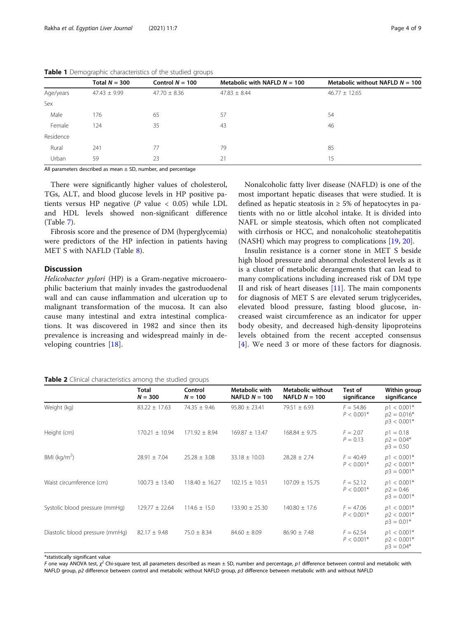|           | Total $N = 300$  | Control $N = 100$ | Metabolic with NAFLD $N = 100$ | Metabolic without NAFLD $N = 100$ |
|-----------|------------------|-------------------|--------------------------------|-----------------------------------|
| Age/years | $47.43 \pm 9.99$ | $47.70 \pm 8.36$  | $47.83 \pm 8.44$               | $46.77 \pm 12.65$                 |
| Sex       |                  |                   |                                |                                   |
| Male      | 176              | 65                | 57                             | 54                                |
| Female    | 124              | 35                | 43                             | 46                                |
| Residence |                  |                   |                                |                                   |
| Rural     | 241              | 77                | 79                             | 85                                |
| Urban     | 59               | 23                | 21                             | 15                                |

<span id="page-3-0"></span>

| Table 1 Demographic characteristics of the studied groups |
|-----------------------------------------------------------|
|-----------------------------------------------------------|

All parameters described as mean  $\pm$  SD, number, and percentage

There were significantly higher values of cholesterol, TGs, ALT, and blood glucose levels in HP positive patients versus HP negative ( $P$  value < 0.05) while LDL and HDL levels showed non-significant difference (Table [7\)](#page-6-0).

Fibrosis score and the presence of DM (hyperglycemia) were predictors of the HP infection in patients having MET S with NAFLD (Table [8\)](#page-7-0).

## **Discussion**

Helicobacter pylori (HP) is a Gram-negative microaerophilic bacterium that mainly invades the gastroduodenal wall and can cause inflammation and ulceration up to malignant transformation of the mucosa. It can also cause many intestinal and extra intestinal complications. It was discovered in 1982 and since then its prevalence is increasing and widespread mainly in developing countries [[18\]](#page-8-0).

Nonalcoholic fatty liver disease (NAFLD) is one of the most important hepatic diseases that were studied. It is defined as hepatic steatosis in  $\geq$  5% of hepatocytes in patients with no or little alcohol intake. It is divided into NAFL or simple steatosis, which often not complicated with cirrhosis or HCC, and nonalcoholic steatohepatitis (NASH) which may progress to complications [[19,](#page-8-0) [20\]](#page-8-0).

Insulin resistance is a corner stone in MET S beside high blood pressure and abnormal cholesterol levels as it is a cluster of metabolic derangements that can lead to many complications including increased risk of DM type II and risk of heart diseases  $[11]$ . The main components for diagnosis of MET S are elevated serum triglycerides, elevated blood pressure, fasting blood glucose, increased waist circumference as an indicator for upper body obesity, and decreased high-density lipoproteins levels obtained from the recent accepted consensus [[4](#page-7-0)]. We need 3 or more of these factors for diagnosis.

#### Table 2 Clinical characteristics among the studied groups

|                                 | Total<br>$N = 300$ | Control<br>$N = 100$ | <b>Metabolic with</b><br>NAFLD $N = 100$ | <b>Metabolic without</b><br>NAFLD $N = 100$ | Test of<br>significance     | Within group<br>significance                    |
|---------------------------------|--------------------|----------------------|------------------------------------------|---------------------------------------------|-----------------------------|-------------------------------------------------|
| Weight (kg)                     | $83.22 \pm 17.63$  | $74.35 \pm 9.46$     | $95.80 \pm 23.41$                        | $79.51 \pm 6.93$                            | $F = 54.86$<br>$P < 0.001*$ | $p1 < 0.001*$<br>$p2 = 0.016*$<br>$p3 < 0.001*$ |
| Height (cm)                     | $170.21 \pm 10.94$ | $171.92 \pm 8.94$    | $169.87 \pm 13.47$                       | $168.84 \pm 9.75$                           | $F = 2.07$<br>$P = 0.13$    | $p1 = 0.18$<br>$p2 = 0.04*$<br>$p3 = 0.50$      |
| BMI $(kq/m^2)$                  | $28.91 \pm 7.04$   | $25.28 \pm 3.08$     | $33.18 \pm 10.03$                        | $28.28 \pm 2.74$                            | $F = 40.49$<br>$P < 0.001*$ | $p1 < 0.001*$<br>$p2 < 0.001*$<br>$p3 = 0.001*$ |
| Waist circumference (cm)        | $100.73 \pm 13.40$ | $118.40 \pm 16.27$   | $102.15 \pm 10.51$                       | $107.09 \pm 15.75$                          | $F = 52.12$<br>$P < 0.001*$ | $p1 < 0.001*$<br>$p2 = 0.46$<br>$p3 = 0.001*$   |
| Systolic blood pressure (mmHg)  | $129.77 \pm 22.64$ | $114.6 \pm 15.0$     | $133.90 \pm 25.30$                       | $140.80 \pm 17.6$                           | $F = 47.06$<br>$P < 0.001*$ | $p1 < 0.001*$<br>$p2 < 0.001*$<br>$p3 = 0.01*$  |
| Diastolic blood pressure (mmHg) | $82.17 \pm 9.48$   | $75.0 \pm 8.34$      | $84.60 \pm 8.09$                         | $86.90 \pm 7.48$                            | $F = 62.54$<br>$P < 0.001*$ | $p1 < 0.001*$<br>$p2 < 0.001*$<br>$p3 = 0.04*$  |

\*statistically significant value

F one way ANOVA test, χ<sup>2</sup> Chi-square test, all parameters described as mean ± SD, number and percentage, p1 difference between control and metabolic with<br>NAFLD group n2 difference between control and metabolic without NA NAFLD group, p2 difference between control and metabolic without NAFLD group, p3 difference between metabolic with and without NAFLD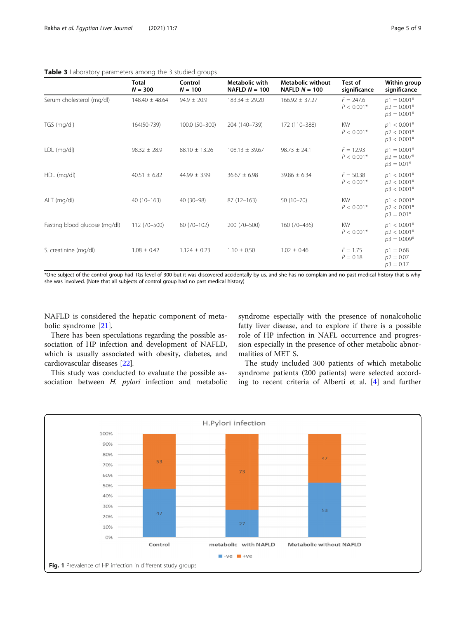<span id="page-4-0"></span>

| Table 3 Laboratory parameters among the 3 studied groups |  |  |  |  |
|----------------------------------------------------------|--|--|--|--|
|                                                          |  |  |  |  |

|                               | <b>Total</b><br>$N = 300$ | Control<br>$N = 100$ | Metabolic with<br>NAFLD $N = 100$ | Metabolic without<br>NAFLD $N = 100$ | Test of<br>significance     | Within group<br>significance                    |
|-------------------------------|---------------------------|----------------------|-----------------------------------|--------------------------------------|-----------------------------|-------------------------------------------------|
| Serum cholesterol (mg/dl)     | $148.40 \pm 48.64$        | $94.9 \pm 20.9$      | $183.34 \pm 29.20$                | $166.92 \pm 37.27$                   | $F = 247.6$<br>$P < 0.001*$ | $p1 = 0.001*$<br>$p2 = 0.001*$<br>$p3 = 0.001*$ |
| TGS (mg/dl)                   | 164(50-739)               | 100.0 (50-300)       | 204 (140-739)                     | 172 (110-388)                        | <b>KW</b><br>$P < 0.001*$   | $p1 < 0.001*$<br>$p2 < 0.001*$<br>$p3 < 0.001*$ |
| LDL (mg/dl)                   | $98.32 \pm 28.9$          | $88.10 \pm 13.26$    | $108.13 \pm 39.67$                | $98.73 \pm 24.1$                     | $F = 12.93$<br>$P < 0.001*$ | $p1 = 0.001*$<br>$p2 = 0.007*$<br>$p3 = 0.01*$  |
| HDL (mg/dl)                   | $40.51 \pm 6.82$          | $44.99 \pm 3.99$     | $36.67 \pm 6.98$                  | $39.86 \pm 6.34$                     | $F = 50.38$<br>$P < 0.001*$ | $p1 < 0.001*$<br>$p2 < 0.001*$<br>$p3 < 0.001*$ |
| ALT (mg/dl)                   | $40(10-163)$              | 40 (30-98)           | $87(12-163)$                      | $50(10-70)$                          | <b>KW</b><br>$P < 0.001*$   | $p1 < 0.001*$<br>$p2 < 0.001*$<br>$p3 = 0.01*$  |
| Fasting blood glucose (mg/dl) | 112 (70-500)              | 80 (70-102)          | 200 (70-500)                      | 160 (70-436)                         | <b>KW</b><br>$P < 0.001*$   | $p1 < 0.001*$<br>$p2 < 0.001*$<br>$p3 = 0.009*$ |
| S. creatinine (mg/dl)         | $1.08 \pm 0.42$           | $1.124 \pm 0.23$     | $1.10 \pm 0.50$                   | $1.02 \pm 0.46$                      | $F = 1.75$<br>$P = 0.18$    | $p1 = 0.68$<br>$p2 = 0.07$<br>$p3 = 0.17$       |

\*One subject of the control group had TGs level of 300 but it was discovered accidentally by us, and she has no complain and no past medical history that is why she was involved. (Note that all subjects of control group had no past medical history)

NAFLD is considered the hepatic component of metabolic syndrome [[21\]](#page-8-0).

There has been speculations regarding the possible association of HP infection and development of NAFLD, which is usually associated with obesity, diabetes, and cardiovascular diseases [\[22](#page-8-0)].

This study was conducted to evaluate the possible association between H. *pylori* infection and metabolic syndrome especially with the presence of nonalcoholic fatty liver disease, and to explore if there is a possible role of HP infection in NAFL occurrence and progression especially in the presence of other metabolic abnormalities of MET S.

The study included 300 patients of which metabolic syndrome patients (200 patients) were selected according to recent criteria of Alberti et al. [[4\]](#page-7-0) and further

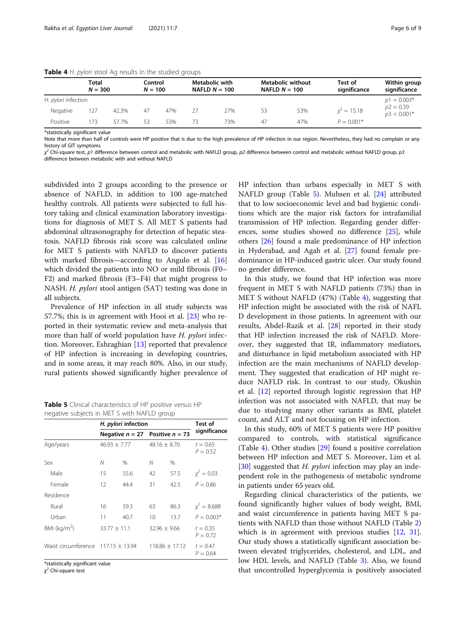<span id="page-5-0"></span>

| Table 4 H. pylori stool Ag results in the studied groups |  |  |  |  |  |  |  |  |  |  |
|----------------------------------------------------------|--|--|--|--|--|--|--|--|--|--|
|----------------------------------------------------------|--|--|--|--|--|--|--|--|--|--|

|                     | Total<br>$N = 300$ |       | Control<br>$N = 100$ |     |    | Metabolic with<br>NAFLD $N = 100$ | <b>Metabolic without</b><br>NAFLD $N = 100$ |     | Test of<br>significance | Within group<br>significance |
|---------------------|--------------------|-------|----------------------|-----|----|-----------------------------------|---------------------------------------------|-----|-------------------------|------------------------------|
| H. pylori infection |                    |       |                      |     |    | $p1 = 0.003*$                     |                                             |     |                         |                              |
| Negative            | 127                | 42.3% | 47                   | 47% | 27 | 27%                               | 53                                          | 53% | $x^2 = 15.18$           | $p2 = 0.39$<br>$p3 < 0.001*$ |
| Positive            | 173                | 57.7% | 53                   | 53% | 73 | 73%                               | 47                                          | 47% | $P = 0.001*$            |                              |

\*statistically significant value

Note that more than half of controls were HP positive that is due to the high prevalence of HP infection in our region. Nevertheless, they had no complain or any history of GIT symptoms

χ<sup>2</sup> Chi-square test, p1 difference between control and metabolic with NAFLD group, p2 difference between control and metabolic without NAFLD group, p3<br>difference between metabolic with and without NAFLD difference between metabolic with and without NAFLD

subdivided into 2 groups according to the presence or absence of NAFLD, in addition to 100 age-matched healthy controls. All patients were subjected to full history taking and clinical examination laboratory investigations for diagnosis of MET S. All MET S patients had abdominal ultrasonography for detection of hepatic steatosis. NAFLD fibrosis risk score was calculated online for MET S patients with NAFLD to discover patients with marked fibrosis—according to Angulo et al. [[16](#page-8-0)] which divided the patients into NO or mild fibrosis (F0– F2) and marked fibrosis (F3–F4) that might progress to NASH. H. pylori stool antigen (SAT) testing was done in all subjects.

Prevalence of HP infection in all study subjects was 57.7%; this is in agreement with Hooi et al. [\[23\]](#page-8-0) who reported in their systematic review and meta-analysis that more than half of world population have H. pylori infection. Moreover, Eshraghian [\[13](#page-7-0)] reported that prevalence of HP infection is increasing in developing countries, and in some areas, it may reach 80%. Also, in our study, rural patients showed significantly higher prevalence of

Table 5 Clinical characteristics of HP positive versus HP negative subjects in MET S with NAFLD group

|                 | H. pylori infection                    | Test of                             |    |                    |                          |  |
|-----------------|----------------------------------------|-------------------------------------|----|--------------------|--------------------------|--|
|                 |                                        | Negative $n = 27$ Positive $n = 73$ |    |                    | significance             |  |
| Age/years       |                                        | $46.93 \pm 7.77$                    |    | $48.16 \pm 8.70$   | $t = 0.65$<br>$P = 0.52$ |  |
| Sex             | Ν                                      | %                                   | Ν  | $\%$               |                          |  |
| Male            | 15                                     | 55.6                                | 42 | 57.5               | $x^2 = 0.03$             |  |
| Female          | 12                                     | 44.4                                | 31 | 42.5               | $P = 0.86$               |  |
| Residence       |                                        |                                     |    |                    |                          |  |
| Rural           | 16                                     | 59.3                                | 63 | 86.3               | $x^2 = 8.688$            |  |
| Urban           | 11                                     | 40.7                                | 10 | 13.7               | $P = 0.003*$             |  |
| BMI ( $kg/m2$ ) | $33.77 \pm 11.1$                       |                                     |    | $32.96 \pm 9.66$   | $t = 0.35$<br>$P = 0.72$ |  |
|                 | Waist circumference $117.15 \pm 13.94$ |                                     |    | $118.86 \pm 17.12$ | $t = 0.47$<br>$P = 0.64$ |  |
|                 |                                        |                                     |    |                    |                          |  |

\*statistically significant value

χ <sup>2</sup> Chi-square test

HP infection than urbans especially in MET S with NAFLD group (Table 5). Muhsen et al. [\[24\]](#page-8-0) attributed that to low socioeconomic level and bad hygienic conditions which are the major risk factors for intrafamilial transmission of HP infection. Regarding gender differences, some studies showed no difference [\[25](#page-8-0)], while others [[26\]](#page-8-0) found a male predominance of HP infection in Hyderabad, and Agah et al. [[27\]](#page-8-0) found female predominance in HP-induced gastric ulcer. Our study found no gender difference.

In this study, we found that HP infection was more frequent in MET S with NAFLD patients (73%) than in MET S without NAFLD (47%) (Table 4), suggesting that HP infection might be associated with the risk of NAFL D development in those patients. In agreement with our results, Abdel-Razik et al. [[28](#page-8-0)] reported in their study that HP infection increased the risk of NAFLD. Moreover, they suggested that IR, inflammatory mediators, and disturbance in lipid metabolism associated with HP infection are the main mechanisms of NAFLD development. They suggested that eradication of HP might reduce NAFLD risk. In contrast to our study, Okushin et al. [\[12\]](#page-7-0) reported through logistic regression that HP infection was not associated with NAFLD, that may be due to studying many other variants as BMI, platelet count, and ALT and not focusing on HP infection.

In this study, 60% of MET S patients were HP positive compared to controls, with statistical significance (Table 4). Other studies [\[29\]](#page-8-0) found a positive correlation between HP infection and MET S. Moreover, Lim et al. [[30\]](#page-8-0) suggested that *H. pylori* infection may play an independent role in the pathogenesis of metabolic syndrome in patients under 65 years old.

Regarding clinical characteristics of the patients, we found significantly higher values of body weight, BMI, and waist circumference in patients having MET S patients with NAFLD than those without NAFLD (Table [2](#page-3-0)) which is in agreement with previous studies [\[12](#page-7-0), [31](#page-8-0)]. Our study shows a statistically significant association between elevated triglycerides, cholesterol, and LDL, and low HDL levels, and NAFLD (Table [3\)](#page-4-0). Also, we found that uncontrolled hyperglycemia is positively associated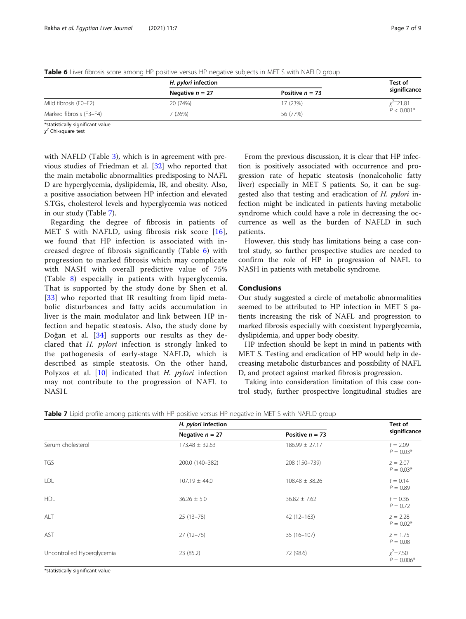|                         | H. <i>pylori</i> infection | Test of           |              |  |
|-------------------------|----------------------------|-------------------|--------------|--|
|                         | Negative $n = 27$          | Positive $n = 73$ | significance |  |
| Mild fibrosis (F0-F2)   | 20 ) 74%)                  | 17 (23%)          | $x^2$ 21.81  |  |
| Marked fibrosis (F3-F4) | 7 (26%)                    | 56 (77%)          | $P < 0.001*$ |  |

<span id="page-6-0"></span>Table 6 Liver fibrosis score among HP positive versus HP negative subjects in MET S with NAFLD group

\*statistically significant value

χ <sup>2</sup> Chi-square test

with NAFLD (Table [3](#page-4-0)), which is in agreement with previous studies of Friedman et al. [\[32](#page-8-0)] who reported that the main metabolic abnormalities predisposing to NAFL D are hyperglycemia, dyslipidemia, IR, and obesity. Also, a positive association between HP infection and elevated S.TGs, cholesterol levels and hyperglycemia was noticed in our study (Table 7).

Regarding the degree of fibrosis in patients of MET S with NAFLD, using fibrosis risk score [[16](#page-8-0)], we found that HP infection is associated with increased degree of fibrosis significantly (Table 6) with progression to marked fibrosis which may complicate with NASH with overall predictive value of 75% (Table [8\)](#page-7-0) especially in patients with hyperglycemia. That is supported by the study done by Shen et al. [[33](#page-8-0)] who reported that IR resulting from lipid metabolic disturbances and fatty acids accumulation in liver is the main modulator and link between HP infection and hepatic steatosis. Also, the study done by Doğan et al. [[34\]](#page-8-0) supports our results as they declared that H. pylori infection is strongly linked to the pathogenesis of early-stage NAFLD, which is described as simple steatosis. On the other hand, Polyzos et al.  $[10]$  $[10]$  indicated that *H. pylori* infection may not contribute to the progression of NAFL to NASH.

From the previous discussion, it is clear that HP infection is positively associated with occurrence and progression rate of hepatic steatosis (nonalcoholic fatty liver) especially in MET S patients. So, it can be suggested also that testing and eradication of H. *pylori* infection might be indicated in patients having metabolic syndrome which could have a role in decreasing the occurrence as well as the burden of NAFLD in such patients.

However, this study has limitations being a case control study, so further prospective studies are needed to confirm the role of HP in progression of NAFL to NASH in patients with metabolic syndrome.

## Conclusions

Our study suggested a circle of metabolic abnormalities seemed to be attributed to HP infection in MET S patients increasing the risk of NAFL and progression to marked fibrosis especially with coexistent hyperglycemia, dyslipidemia, and upper body obesity.

HP infection should be kept in mind in patients with MET S. Testing and eradication of HP would help in decreasing metabolic disturbances and possibility of NAFL D, and protect against marked fibrosis progression.

Taking into consideration limitation of this case control study, further prospective longitudinal studies are

Table 7 Lipid profile among patients with HP positive versus HP negative in MET S with NAFLD group

|                            | H. pylori infection |                    | Test of                      |  |
|----------------------------|---------------------|--------------------|------------------------------|--|
|                            | Negative $n = 27$   | Positive $n = 73$  | significance                 |  |
| Serum cholesterol          | $173.48 \pm 32.63$  | $186.99 \pm 27.17$ | $t = 2.09$<br>$P = 0.03*$    |  |
| <b>TGS</b>                 | 200.0 (140-382)     | 208 (150-739)      | $z = 2.07$<br>$P = 0.03*$    |  |
| LDL                        | $107.19 \pm 44.0$   | $108.48 \pm 38.26$ | $t = 0.14$<br>$P = 0.89$     |  |
| <b>HDL</b>                 | $36.26 \pm 5.0$     | $36.82 \pm 7.62$   | $t = 0.36$<br>$P = 0.72$     |  |
| ALT                        | $25(13-78)$         | $42(12-163)$       | $z = 2.28$<br>$P = 0.02*$    |  |
| AST                        | $27(12-76)$         | $35(16-107)$       | $z = 1.75$<br>$P = 0.08$     |  |
| Uncontrolled Hyperglycemia | 23 (85.2)           | 72 (98.6)          | $x^2 = 7.50$<br>$P = 0.006*$ |  |

\*statistically significant value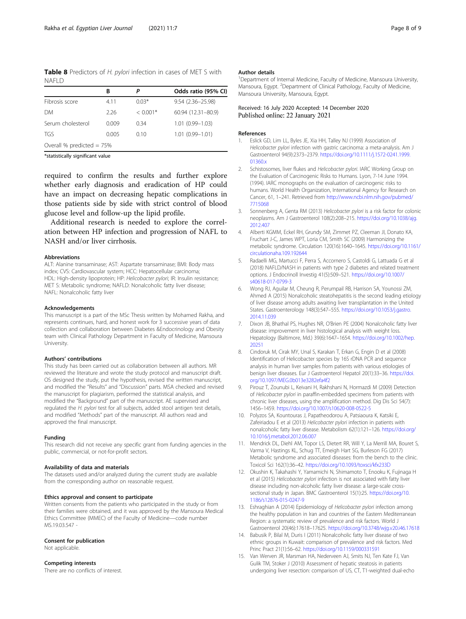<span id="page-7-0"></span>Table 8 Predictors of H. pylori infection in cases of MET S with NAFLD

|                             | В     | Ρ          | Odds ratio (95% CI) |  |  |
|-----------------------------|-------|------------|---------------------|--|--|
| Fibrosis score              | 4.11  | $0.03*$    | 9.54 (2.36-25.98)   |  |  |
| DМ                          | 2.26  | $< 0.001*$ | 60.94 (12.31-80.9)  |  |  |
| Serum cholesterol           | 0.009 | 0.34       | $1.01(0.99 - 1.03)$ |  |  |
| <b>TGS</b>                  | 0.005 | 0.10       | $1.01(0.99 - 1.01)$ |  |  |
| Overall % predicted $= 75%$ |       |            |                     |  |  |

\*statistically significant value

required to confirm the results and further explore whether early diagnosis and eradication of HP could have an impact on decreasing hepatic complications in those patients side by side with strict control of blood glucose level and follow-up the lipid profile.

Additional research is needed to explore the correlation between HP infection and progression of NAFL to NASH and/or liver cirrhosis.

#### Abbreviations

ALT: Alanine transaminase; AST: Aspartate transaminase; BMI: Body mass index; CVS: Cardiovascular system; HCC: Hepatocellular carcinoma; HDL: High-density lipoprotein; HP: Helicobacter pylori; IR: Insulin resistance; MET S: Metabolic syndrome; NAFLD: Nonalcoholic fatty liver disease; NAFL: Nonalcoholic fatty liver

#### Acknowledgements

This manuscript is a part of the MSc Thesis written by Mohamed Rakha, and represents continues, hard, and honest work for 3 successive years of data collection and collaboration between Diabetes &Endocrinology and Obesity team with Clinical Pathology Department in Faculty of Medicine, Mansoura University.

#### Authors' contributions

This study has been carried out as collaboration between all authors. MR reviewed the literature and wrote the study protocol and manuscript draft. OS designed the study, put the hypothesis, revised the written manuscript, and modified the "Results" and "Discussion" parts. MSA checked and revised the manuscript for plagiarism, performed the statistical analysis, and modified the "Background" part of the manuscript. AE supervised and regulated the H. pylori test for all subjects, added stool antigen test details, and modified "Methods" part of the manuscript. All authors read and approved the final manuscript.

#### Funding

This research did not receive any specific grant from funding agencies in the public, commercial, or not-for-profit sectors.

#### Availability of data and materials

The datasets used and/or analyzed during the current study are available from the corresponding author on reasonable request.

#### Ethics approval and consent to participate

Written consents from the patients who participated in the study or from their families were obtained, and it was approved by the Mansoura Medical Ethics Committee (MMEC) of the Faculty of Medicine—code number MS.19.03.547 -

#### Consent for publication

Not applicable.

## Competing interests

There are no conflicts of interest.

#### Author details

<sup>1</sup>Department of Internal Medicine, Faculty of Medicine, Mansoura University Mansoura, Egypt. <sup>2</sup>Department of Clinical Pathology, Faculty of Medicine Mansoura University, Mansoura, Egypt.

#### Received: 16 July 2020 Accepted: 14 December 2020 Published online: 22 January 2021

#### References

- 1. Eslick GD, Lim LL, Byles JE, Xia HH, Talley NJ (1999) Association of Helicobacter pylori infection with gastric carcinoma: a meta-analysis. Am J Gastroenterol 94(9):2373–2379. [https://doi.org/10.1111/j.1572-0241.1999.](https://doi.org/10.1111/j.1572-0241.1999.01360.x) [01360.x](https://doi.org/10.1111/j.1572-0241.1999.01360.x)
- 2. Schistosomes, liver flukes and Helicobacter pylori. IARC Working Group on the Evaluation of Carcinogenic Risks to Humans. Lyon, 7-14 June 1994. (1994). IARC monographs on the evaluation of carcinogenic risks to humans. World Health Organization, International Agency for Research on Cancer, 61, 1–241. Retrieved from [http://www.ncbi.nlm.nih.gov/pubmed/](http://www.ncbi.nlm.nih.gov/pubmed/7715068) [7715068](http://www.ncbi.nlm.nih.gov/pubmed/7715068)
- 3. Sonnenberg A, Genta RM (2013) Helicobacter pylori is a risk factor for colonic neoplasms. Am J Gastroenterol 108(2):208–215. [https://doi.org/10.1038/ajg.](https://doi.org/10.1038/ajg.2012.407) [2012.407](https://doi.org/10.1038/ajg.2012.407)
- 4. Alberti KGMM, Eckel RH, Grundy SM, Zimmet PZ, Cleeman JI, Donato KA, Fruchart J-C, James WPT, Loria CM, Smith SC (2009) Harmonizing the metabolic syndrome. Circulation 120(16):1640–1645. [https://doi.org/10.1161/](https://doi.org/10.1161/circulationaha.109.192644) [circulationaha.109.192644](https://doi.org/10.1161/circulationaha.109.192644)
- 5. Radaelli MG, Martucci F, Perra S, Accornero S, Castoldi G, Lattuada G et al (2018) NAFLD/NASH in patients with type 2 diabetes and related treatment options. J Endocrinoll Investig 41(5):509–521. [https://doi.org/10.1007/](https://doi.org/10.1007/s40618-017-0799-3) [s40618-017-0799-3](https://doi.org/10.1007/s40618-017-0799-3)
- 6. Wong RJ, Aguilar M, Cheung R, Perumpail RB, Harrison SA, Younossi ZM, Ahmed A (2015) Nonalcoholic steatohepatitis is the second leading etiology of liver disease among adults awaiting liver transplantation in the United States. Gastroenterology 148(3):547–555. [https://doi.org/10.1053/j.gastro.](https://doi.org/10.1053/j.gastro.2014.11.039) [2014.11.039](https://doi.org/10.1053/j.gastro.2014.11.039)
- 7. Dixon JB, Bhathal PS, Hughes NR, O'Brien PE (2004) Nonalcoholic fatty liver disease: improvement in liver histological analysis with weight loss. Hepatology (Baltimore, Md.) 39(6):1647–1654. [https://doi.org/10.1002/hep.](https://doi.org/10.1002/hep.20251) [20251](https://doi.org/10.1002/hep.20251)
- 8. Cindoruk M, Cirak MY, Unal S, Karakan T, Erkan G, Engin D et al (2008) Identification of Helicobacter species by 16S rDNA PCR and sequence analysis in human liver samples from patients with various etiologies of benign liver diseases. Eur J Gastroenterol Hepatol 20(1):33–36. [https://doi.](https://doi.org/10.1097/MEG.0b013e3282efa4f2) [org/10.1097/MEG.0b013e3282efa4f2](https://doi.org/10.1097/MEG.0b013e3282efa4f2)
- 9. Pirouz T, Zounubi L, Keivani H, Rakhshani N, Hormazdi M (2009) Detection of Helicobacter pylori in paraffin-embedded specimens from patients with chronic liver diseases, using the amplification method. Dig Dis Sci 54(7): 1456–1459. <https://doi.org/10.1007/s10620-008-0522-5>
- 10. Polyzos SA, Kountouras J, Papatheodorou A, Patsiaoura K, Katsiki E, Zafeiriadou E et al (2013) Helicobacter pylori infection in patients with nonalcoholic fatty liver disease. Metabolism 62(1):121–126. [https://doi.org/](https://doi.org/10.1016/j.metabol.2012.06.007) [10.1016/j.metabol.2012.06.007](https://doi.org/10.1016/j.metabol.2012.06.007)
- 11. Mendrick DL, Diehl AM, Topor LS, Dietert RR, Will Y, La Merrill MA, Bouret S, Varma V, Hastings KL, Schug TT, Emeigh Hart SG, Burleson FG (2017) Metabolic syndrome and associated diseases: from the bench to the clinic. Toxicol Sci 162(1):36–42. <https://doi.org/10.1093/toxsci/kfx233D>
- 12. Okushin K, Takahashi Y, Yamamichi N, Shimamoto T, Enooku K, Fujinaga H et al (2015) Helicobacter pylori infection is not associated with fatty liver disease including non-alcoholic fatty liver disease: a large-scale crosssectional study in Japan. BMC Gastroenterol 15(1):25. [https://doi.org/10.](https://doi.org/10.1186/s12876-015-0247-9) [1186/s12876-015-0247-9](https://doi.org/10.1186/s12876-015-0247-9)
- 13. Eshraghian A (2014) Epidemiology of Helicobacter pylori infection among the healthy population in Iran and countries of the Eastern Mediterranean Region: a systematic review of prevalence and risk factors. World J Gastroenterol 20(46):17618–17625. <https://doi.org/10.3748/wjg.v20.i46.17618>
- 14. Babusik P, Bilal M, Duris I (2011) Nonalcoholic fatty liver disease of two ethnic groups in Kuwait: comparison of prevalence and risk factors. Med Princ Pract 21(1):56–62. <https://doi.org/10.1159/000331591>
- 15. Van Werven JR, Marsman HA, Nederveen AJ, Smits NJ, Ten Kate FJ, Van Gulik TM, Stoker J (2010) Assessment of hepatic steatosis in patients undergoing liver resection: comparison of US, CT, T1-weighted dual-echo